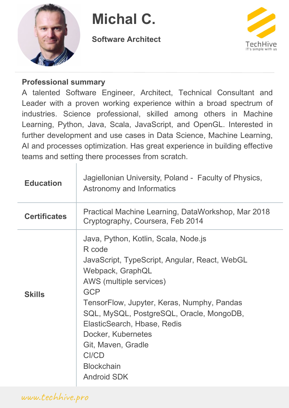

**Michal C.**

**Software Architect**



### **Professional summary**

A talented Software Engineer, Architect, Technical Consultant and Leader with a proven working experience within a broad spectrum of industries. Science professional, skilled among others in Machine Learning, Python, Java, Scala, JavaScript, and OpenGL. Interested in further development and use cases in Data Science, Machine Learning, AI and processes optimization. Has great experience in building effective teams and setting there processes from scratch.

| <b>Education</b>    | Jagiellonian University, Poland - Faculty of Physics,<br><b>Astronomy and Informatics</b>                                                                                                                                                                                                                                                                                             |
|---------------------|---------------------------------------------------------------------------------------------------------------------------------------------------------------------------------------------------------------------------------------------------------------------------------------------------------------------------------------------------------------------------------------|
| <b>Certificates</b> | Practical Machine Learning, DataWorkshop, Mar 2018<br>Cryptography, Coursera, Feb 2014                                                                                                                                                                                                                                                                                                |
| <b>Skills</b>       | Java, Python, Kotlin, Scala, Node.js<br>R code<br>JavaScript, TypeScript, Angular, React, WebGL<br>Webpack, GraphQL<br>AWS (multiple services)<br><b>GCP</b><br>TensorFlow, Jupyter, Keras, Numphy, Pandas<br>SQL, MySQL, PostgreSQL, Oracle, MongoDB,<br>ElasticSearch, Hbase, Redis<br>Docker, Kubernetes<br>Git, Maven, Gradle<br>CI/CD<br><b>Blockchain</b><br><b>Android SDK</b> |

www.techhive.pro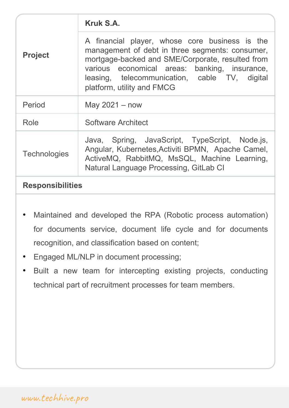| <b>Project</b>      |                                                                                                                                                                                                                                                                                       |
|---------------------|---------------------------------------------------------------------------------------------------------------------------------------------------------------------------------------------------------------------------------------------------------------------------------------|
|                     | A financial player, whose core business is the<br>management of debt in three segments: consumer,<br>mortgage-backed and SME/Corporate, resulted from<br>various economical areas: banking, insurance,<br>leasing, telecommunication, cable TV, digital<br>platform, utility and FMCG |
| Period              | May $2021 - now$                                                                                                                                                                                                                                                                      |
| Role                | <b>Software Architect</b>                                                                                                                                                                                                                                                             |
| <b>Technologies</b> | Java, Spring, JavaScript, TypeScript, Node.js,<br>Angular, Kubernetes, Activiti BPMN, Apache Camel,<br>ActiveMQ, RabbitMQ, MsSQL, Machine Learning,<br>Natural Language Processing, GitLab CI                                                                                         |
|                     |                                                                                                                                                                                                                                                                                       |

- Maintained and developed the RPA (Robotic process automation) for documents service, document life cycle and for documents recognition, and classification based on content;
- Engaged ML/NLP in document processing;
- Built a new team for intercepting existing projects, conducting technical part of recruitment processes for team members.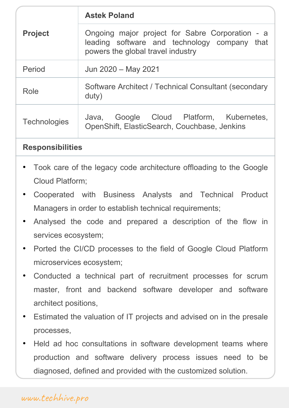| <b>Project</b>      | Ongoing major project for Sabre Corporation - a<br>leading software and technology company that<br>powers the global travel industry |
|---------------------|--------------------------------------------------------------------------------------------------------------------------------------|
| Period              | Jun 2020 - May 2021                                                                                                                  |
| Role                | Software Architect / Technical Consultant (secondary<br>duty)                                                                        |
| <b>Technologies</b> | Java, Google Cloud Platform, Kubernetes,<br>OpenShift, ElasticSearch, Couchbase, Jenkins                                             |

- Took care of the legacy code architecture offloading to the Google Cloud Platform;
- Cooperated with Business Analysts and Technical Product Managers in order to establish technical requirements;
- Analysed the code and prepared a description of the flow in services ecosystem;
- Ported the CI/CD processes to the field of Google Cloud Platform microservices ecosystem;
- Conducted a technical part of recruitment processes for scrum master, front and backend software developer and software architect positions,
- Estimated the valuation of IT projects and advised on in the presale processes,
- Held ad hoc consultations in software development teams where production and software delivery process issues need to be diagnosed, defined and provided with the customized solution.

# www.techhive.pro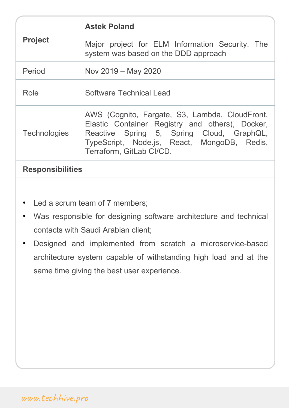| <b>Project</b>      | <b>Astek Poland</b>                                                                                                                                                                                                       |
|---------------------|---------------------------------------------------------------------------------------------------------------------------------------------------------------------------------------------------------------------------|
|                     | Major project for ELM Information Security. The<br>system was based on the DDD approach                                                                                                                                   |
| Period              | Nov 2019 – May 2020                                                                                                                                                                                                       |
| Role                | <b>Software Technical Lead</b>                                                                                                                                                                                            |
| <b>Technologies</b> | AWS (Cognito, Fargate, S3, Lambda, CloudFront,<br>Elastic Container Registry and others), Docker,<br>Reactive Spring 5, Spring Cloud, GraphQL,<br>TypeScript, Node.js, React, MongoDB, Redis,<br>Terraform, GitLab CI/CD. |

- Led a scrum team of 7 members;
- Was responsible for designing software architecture and technical contacts with Saudi Arabian client;
- Designed and implemented from scratch a microservice-based architecture system capable of withstanding high load and at the same time giving the best user experience.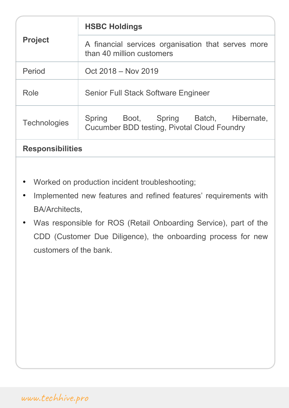| <b>Project</b>          | <b>HSBC Holdings</b>                                                                           |
|-------------------------|------------------------------------------------------------------------------------------------|
|                         | A financial services organisation that serves more<br>than 40 million customers                |
| Period                  | Oct 2018 – Nov 2019                                                                            |
| Role                    | <b>Senior Full Stack Software Engineer</b>                                                     |
| <b>Technologies</b>     | Boot, Spring Batch, Hibernate,<br>Spring<br><b>Cucumber BDD testing, Pivotal Cloud Foundry</b> |
| <b>Responsibilities</b> |                                                                                                |

- Worked on production incident troubleshooting;
- Implemented new features and refined features' requirements with BA/Architects,
- Was responsible for ROS (Retail Onboarding Service), part of the CDD (Customer Due Diligence), the onboarding process for new customers of the bank.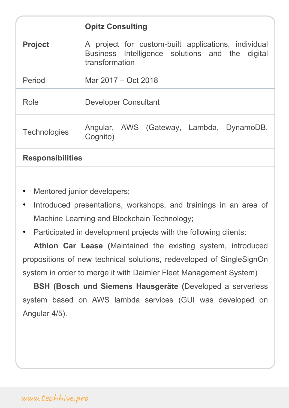| <b>Project</b>          | <b>Opitz Consulting</b>                                                                                                  |
|-------------------------|--------------------------------------------------------------------------------------------------------------------------|
|                         | A project for custom-built applications, individual<br>Business Intelligence solutions and the digital<br>transformation |
| Period                  | Mar 2017 – Oct 2018                                                                                                      |
| Role                    | <b>Developer Consultant</b>                                                                                              |
| <b>Technologies</b>     | Angular, AWS (Gateway, Lambda, DynamoDB,<br>Cognito)                                                                     |
| <b>Responsibilities</b> |                                                                                                                          |

- Mentored junior developers;
- Introduced presentations, workshops, and trainings in an area of Machine Learning and Blockchain Technology;
- Participated in development projects with the following clients:

**Athlon Car Lease (**Maintained the existing system, introduced propositions of new technical solutions, redeveloped of SingleSignOn system in order to merge it with Daimler Fleet Management System)

**BSH (Bosch und Siemens Hausgeräte (**Developed a serverless system based on AWS lambda services (GUI was developed on Angular 4/5).

# www.techhive.pro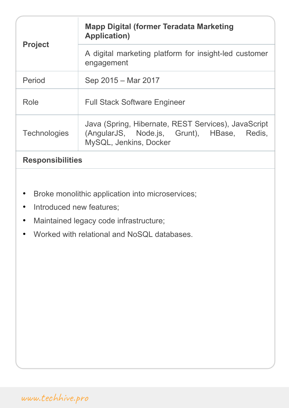| <b>Project</b>      | <b>Mapp Digital (former Teradata Marketing</b><br><b>Application</b> )                                                      |
|---------------------|-----------------------------------------------------------------------------------------------------------------------------|
|                     | A digital marketing platform for insight-led customer<br>engagement                                                         |
| Period              | Sep 2015 – Mar 2017                                                                                                         |
| Role                | <b>Full Stack Software Engineer</b>                                                                                         |
| <b>Technologies</b> | Java (Spring, Hibernate, REST Services), JavaScript<br>(AngularJS, Node.js, Grunt), HBase, Redis,<br>MySQL, Jenkins, Docker |
|                     |                                                                                                                             |

- Broke monolithic application into microservices;
- Introduced new features;
- Maintained legacy code infrastructure;
- Worked with relational and NoSQL databases.